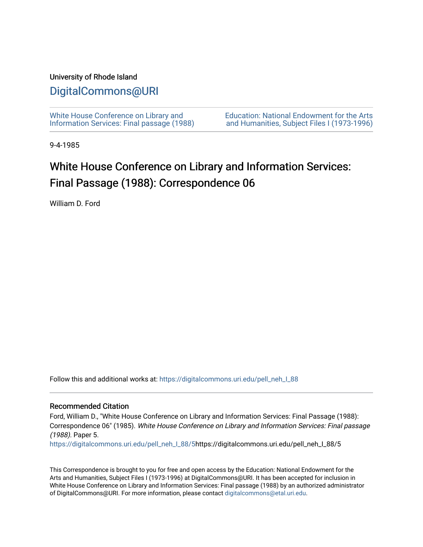### University of Rhode Island

# [DigitalCommons@URI](https://digitalcommons.uri.edu/)

[White House Conference on Library and](https://digitalcommons.uri.edu/pell_neh_I_88) [Information Services: Final passage \(1988\)](https://digitalcommons.uri.edu/pell_neh_I_88) [Education: National Endowment for the Arts](https://digitalcommons.uri.edu/pell_neh_I)  [and Humanities, Subject Files I \(1973-1996\)](https://digitalcommons.uri.edu/pell_neh_I) 

9-4-1985

# White House Conference on Library and Information Services: Final Passage (1988): Correspondence 06

William D. Ford

Follow this and additional works at: [https://digitalcommons.uri.edu/pell\\_neh\\_I\\_88](https://digitalcommons.uri.edu/pell_neh_I_88?utm_source=digitalcommons.uri.edu%2Fpell_neh_I_88%2F5&utm_medium=PDF&utm_campaign=PDFCoverPages) 

#### Recommended Citation

Ford, William D., "White House Conference on Library and Information Services: Final Passage (1988): Correspondence 06" (1985). White House Conference on Library and Information Services: Final passage (1988). Paper 5.

[https://digitalcommons.uri.edu/pell\\_neh\\_I\\_88/5h](https://digitalcommons.uri.edu/pell_neh_I_88/5?utm_source=digitalcommons.uri.edu%2Fpell_neh_I_88%2F5&utm_medium=PDF&utm_campaign=PDFCoverPages)ttps://digitalcommons.uri.edu/pell\_neh\_I\_88/5

This Correspondence is brought to you for free and open access by the Education: National Endowment for the Arts and Humanities, Subject Files I (1973-1996) at DigitalCommons@URI. It has been accepted for inclusion in White House Conference on Library and Information Services: Final passage (1988) by an authorized administrator of DigitalCommons@URI. For more information, please contact [digitalcommons@etal.uri.edu](mailto:digitalcommons@etal.uri.edu).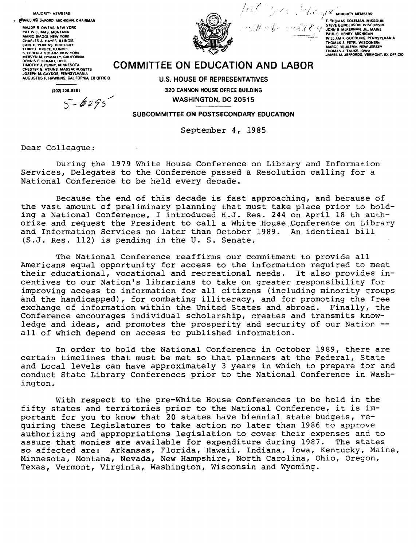**MAJORITY MEMBERS:** 

**FWILLIAG D FORD, MICHIGAN, CHAIRMAN** 

MAJOR R. OWENS, NEW YORK PAT WILLIAMS, MONTANI **MARIO BIAGGI NEW YORK** MARIO BIAGGI, NEW YORK<br>CAARLES A HAYES, ILINOIS<br>CAARLES A HAYES, ILINOIS<br>TERRY L. BRICE, ILINOIS<br>STEPHEN J. SOLARZ, NEW YORK<br>MERVYN M. DYMALLY, CALIFORNIA<br>TIMOTHY J. PENNY, MINNESOTA<br>CHESTER G. ATKINS, MASSACHUSETTS<br>JOSEPH SUSEFH M. GATDUS, FENNSTEVANIA<br>AUGUSTUS F. HAWKINS, CALIFORNIA, EX OFFICIO

(202) 225-8881

 $5 - 6295$ 



with a benefit the

 $\int_{\mathbb{R}}\mathbb{R}^{n}\mathbb{R}^{n}\mathbb{R}^{n}\mathbb{Z}^{n}\mathbb{Z}^{n}\mathbb{Z}^{n}\mathbb{R}^{n}$  windrity members: E. THOMAS COLEMAN, MISSOURI<br>STEVE GUNDERSON, WISCONSIN STEVE GUNDENSON, WISCONSIN<br>JOHN R. MCKERNAN, JR., MAINE<br>PAUL B. HENRY, MICHIGAN<br>WILLIAM F. GOODLING, PENNSYLVANIA WILLIAM F. UOUULING, FENNIS TEXANIA<br>MARGE ROUKEMA, NEW JERSEY<br>THOMAS J. TAUKE, IOWA<br>JAMES M. JEFFORDS, VERMONT, EX OFFICIO

## **COMMITTEE ON EDUCATION AND LABOR**

**U.S. HOUSE OF REPRESENTATIVES** 320 CANNON HOUSE OFFICE BUILDING **WASHINGTON, DC 20515** 

SUBCOMMITTEE ON POSTSECONDARY EDUCATION

September 4, 1985

Dear Colleague:

During the 1979 White House Conference on Library and Information Services, Delegates to the Conference passed a Resolution calling for a National Conference to be held every decade.

Because the end of this decade is fast approaching, and because of the vast amount of preliminary planning that must take place prior to holding a National Conference, I introduced H.J. Res. 244 on April 18 th authorize and request the President to call a White House Conference on Library and Information Services no later than October 1989. An identical bill (S.J. Res. 112) is pending in the U. S. Senate.

The National Conference reaffirms our commitment to provide all Americans equal opportunity for access to the information required to meet their educational, vocational and recreational needs. It also provides incentives to our Nation's librarians to take on greater responsibility for improving access to information for all citizens (including minority groups and the handicapped), for combating illiteracy, and for promoting the free exchange of information within the United States and abroad. Finally, the Conference encourages individual scholarship, creates and transmits knowledge and ideas, and promotes the prosperity and security of our Nation -all of which depend on access to published information.

In order to hold the National Conference in October 1989, there are certain timelines that must be met so that planners at the Federal, State and Local levels can have approximately 3 years in which to prepare for and conduct State Library Conferences prior to the National Conference in Washington.

With respect to the pre-White House Conferences to be held in the fifty states and territories prior to the National Conference, it is important for you to know that 20 states have biennial state budgets, requiring these Legislatures to take action no later than 1986 to approve authorizing and appropriations legislation to cover their expenses and to assure that monies are available for expenditure during 1987. The states so affected are: Arkansas, Florida, Hawaii, Indiana, Iowa, Kentucky, Maine, Minnesota, Montana, Nevada, New Hampshire, North Carolina, Ohio, Oregon, Texas, Vermont, Virginia, Washington, Wisconsin and Wyoming.